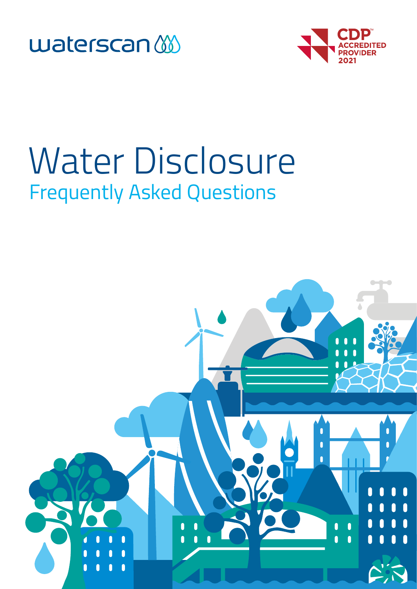



# **Frequently Asked Questions** Water Disclosure

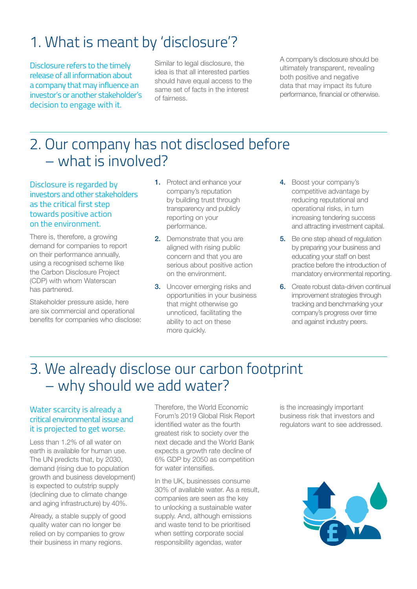# 1. What is meant by 'disclosure'?

Disclosure refers to the timely release of all information about a company that may influence an investor's or another stakeholder's decision to engage with it.

Similar to legal disclosure, the idea is that all interested parties should have equal access to the same set of facts in the interest of fairness.

A company's disclosure should be ultimately transparent, revealing both positive and negative data that may impact its future performance, financial or otherwise.

### 2. Our company has not disclosed before – what is involved?

Disclosure is regarded by investors and other stakeholders as the critical first step towards positive action on the environment.

There is, therefore, a growing demand for companies to report on their performance annually, using a recognised scheme like the Carbon Disclosure Project (CDP) with whom Waterscan has partnered.

Stakeholder pressure aside, here are six commercial and operational benefits for companies who disclose:

- 1. Protect and enhance your company's reputation by building trust through transparency and publicly reporting on your performance.
- 2. Demonstrate that you are aligned with rising public concern and that you are serious about positive action on the environment.
- **3.** Uncover emerging risks and opportunities in your business that might otherwise go unnoticed, facilitating the ability to act on these more quickly.
- 4. Boost your company's competitive advantage by reducing reputational and operational risks, in turn increasing tendering success and attracting investment capital.
- **5.** Be one step ahead of regulation by preparing your business and educating your staff on best practice before the introduction of mandatory environmental reporting.
- **6.** Create robust data-driven continual improvement strategies through tracking and benchmarking your company's progress over time and against industry peers.

### 3. We already disclose our carbon footprint – why should we add water?

#### Water scarcity is already a critical environmental issue and it is projected to get worse.

Less than 1.2% of all water on earth is available for human use. The UN predicts that, by 2030, demand (rising due to population growth and business development) is expected to outstrip supply (declining due to climate change and aging infrastructure) by 40%.

Already, a stable supply of good quality water can no longer be relied on by companies to grow their business in many regions.

Therefore, the World Economic Forum's 2019 Global Risk Report identified water as the fourth greatest risk to society over the next decade and the World Bank expects a growth rate decline of 6% GDP by 2050 as competition for water intensifies.

In the UK, businesses consume 30% of available water. As a result, companies are seen as the key to unlocking a sustainable water supply. And, although emissions and waste tend to be prioritised when setting corporate social responsibility agendas, water

is the increasingly important business risk that investors and regulators want to see addressed.

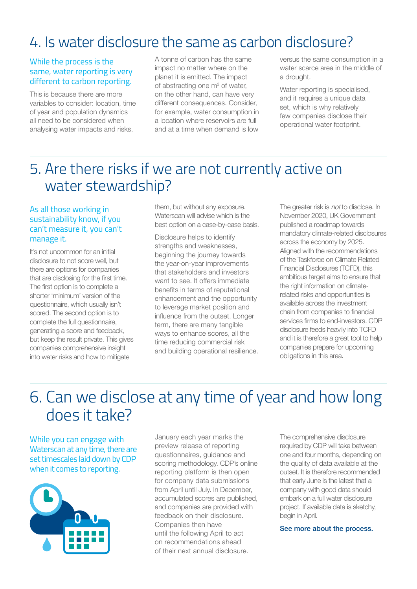### 4. Is water disclosure the same as carbon disclosure?

#### While the process is the same, water reporting is very different to carbon reporting.

This is because there are more variables to consider: location, time of year and population dynamics all need to be considered when analysing water impacts and risks.

A tonne of carbon has the same impact no matter where on the planet it is emitted. The impact of abstracting one  $m<sup>3</sup>$  of water, on the other hand, can have very different consequences. Consider, for example, water consumption in a location where reservoirs are full and at a time when demand is low

versus the same consumption in a water scarce area in the middle of a drought.

Water reporting is specialised, and it requires a unique data set, which is why relatively few companies disclose their operational water footprint.

### 5. Are there risks if we are not currently active on water stewardship?

#### As all those working in sustainability know, if you can't measure it, you can't manage it.

It's not uncommon for an initial disclosure to not score well, but there are options for companies that are disclosing for the first time. The first option is to complete a shorter 'minimum' version of the questionnaire, which usually isn't scored. The second option is to complete the full questionnaire, generating a score and feedback, but keep the result private. This gives companies comprehensive insight into water risks and how to mitigate

them, but without any exposure. Waterscan will advise which is the best option on a case-by-case basis.

Disclosure helps to identify strengths and weaknesses, beginning the journey towards the year-on-year improvements that stakeholders and investors want to see. It offers immediate benefits in terms of reputational enhancement and the opportunity to leverage market position and influence from the outset. Longer term, there are many tangible ways to enhance scores, all the time reducing commercial risk and building operational resilience. The greater risk is *not* to disclose. In November 2020, UK Government published a roadmap towards mandatory climate-related disclosures across the economy by 2025. Aligned with the recommendations of the Taskforce on Climate Related Financial Disclosures (TCFD), this ambitious target aims to ensure that the right information on climaterelated risks and opportunities is available across the investment chain from companies to financial services firms to end-investors. CDP disclosure feeds heavily into TCFD and it is therefore a great tool to help companies prepare for upcoming obligations in this area.

## 6. Can we disclose at any time of year and how long does it take?

While you can engage with Waterscan at any time, there are set timescales laid down by CDP when it comes to reporting.



January each year marks the preview release of reporting questionnaires, guidance and scoring methodology. CDP's online reporting platform is then open for company data submissions from April until July. In December, accumulated scores are published, and companies are provided with feedback on their disclosure. Companies then have until the following April to act on recommendations ahead of their next annual disclosure.

The comprehensive disclosure required by CDP will take between one and four months, depending on the quality of data available at the outset. It is therefore recommended that early June is the latest that a company with good data should embark on a full water disclosure project. If available data is sketchy, begin in April.

See more about the process.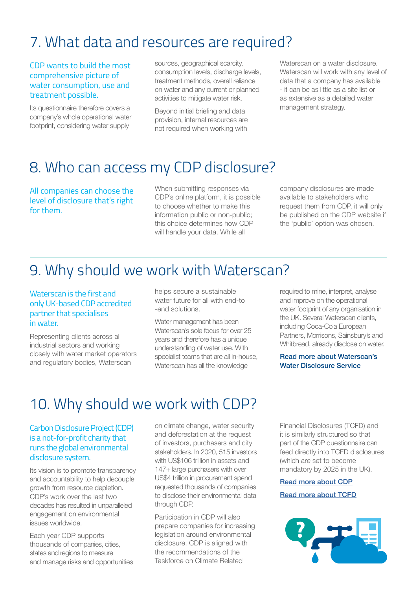### 7. What data and resources are required?

#### CDP wants to build the most comprehensive picture of water consumption, use and treatment possible.

Its questionnaire therefore covers a company's whole operational water footprint, considering water supply

sources, geographical scarcity, consumption levels, discharge levels, treatment methods, overall reliance on water and any current or planned activities to mitigate water risk.

Beyond initial briefing and data provision, internal resources are not required when working with Waterscan on a water disclosure. Waterscan will work with any level of data that a company has available - it can be as little as a site list or as extensive as a detailed water management strategy.

#### 8. Who can access my CDP disclosure?

All companies can choose the level of disclosure that's right for them.

When submitting responses via CDP's online platform, it is possible to choose whether to make this information public or non-public; this choice determines how CDP will handle your data. While all

company disclosures are made available to stakeholders who request them from CDP, it will only be published on the CDP website if the 'public' option was chosen.

### 9. Why should we work with Waterscan?

#### Waterscan is the first and only UK-based CDP accredited partner that specialises in water.

Representing clients across all industrial sectors and working closely with water market operators and regulatory bodies, Waterscan

helps secure a sustainable water future for all with end-to -end solutions.

Water management has been Waterscan's sole focus for over 25 years and therefore has a unique understanding of water use. With specialist teams that are all in-house, Waterscan has all the knowledge

required to mine, interpret, analyse and improve on the operational water footprint of any organisation in the UK. Several Waterscan clients, including Coca-Cola European Partners, Morrisons, Sainsbury's and Whitbread, already disclose on water.

#### Read more about Waterscan's Water Disclosure Service

### 10. Why should we work with CDP?

#### Carbon Disclosure Project (CDP) is a not-for-profit charity that runs the global environmental disclosure system.

Its vision is to promote transparency and accountability to help decouple growth from resource depletion. CDP's work over the last two decades has resulted in unparalleled engagement on environmental issues worldwide.

Each year CDP supports thousands of companies, cities, states and regions to measure and manage risks and opportunities on climate change, water security and deforestation at the request of investors, purchasers and city stakeholders. In 2020, 515 investors with US\$106 trillion in assets and 147+ large purchasers with over US\$4 trillion in procurement spend requested thousands of companies to disclose their environmental data through CDP.

Participation in CDP will also prepare companies for increasing legislation around environmental disclosure. CDP is aligned with the recommendations of the Taskforce on Climate Related

Financial Disclosures (TCFD) and it is similarly structured so that part of the CDP questionnaire can feed directly into TCFD disclosures (which are set to become mandatory by 2025 in the UK).

#### [Read more about CDP](https://www.cdp.net/en)

[Read more about TCFD](https://www.fsb-tcfd.org/)